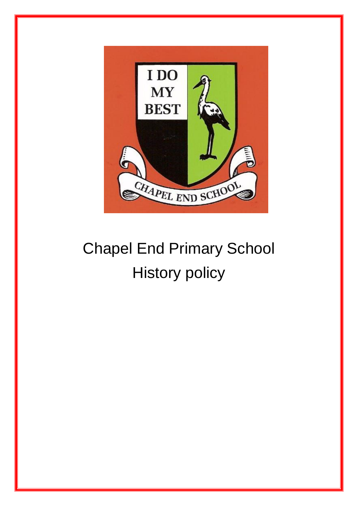

# Chapel End Primary School History policy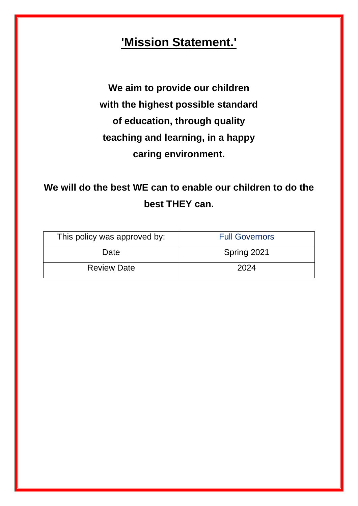## **'Mission Statement.'**

**We aim to provide our children with the highest possible standard of education, through quality teaching and learning, in a happy caring environment.**

**We will do the best WE can to enable our children to do the best THEY can.** 

| This policy was approved by: | <b>Full Governors</b> |
|------------------------------|-----------------------|
| Date                         | Spring 2021           |
| <b>Review Date</b>           | 2024                  |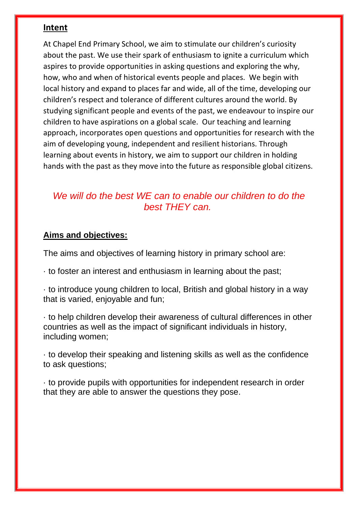#### **Intent**

At Chapel End Primary School, we aim to stimulate our children's curiosity about the past. We use their spark of enthusiasm to ignite a curriculum which aspires to provide opportunities in asking questions and exploring the why, how, who and when of historical events people and places. We begin with local history and expand to places far and wide, all of the time, developing our children's respect and tolerance of different cultures around the world. By studying significant people and events of the past, we endeavour to inspire our children to have aspirations on a global scale. Our teaching and learning approach, incorporates open questions and opportunities for research with the aim of developing young, independent and resilient historians. Through learning about events in history, we aim to support our children in holding hands with the past as they move into the future as responsible global citizens.

#### *We will do the best WE can to enable our children to do the best THEY can.*

#### **Aims and objectives:**

The aims and objectives of learning history in primary school are:

- · to foster an interest and enthusiasm in learning about the past;
- · to introduce young children to local, British and global history in a way that is varied, enjoyable and fun;

· to help children develop their awareness of cultural differences in other countries as well as the impact of significant individuals in history, including women;

· to develop their speaking and listening skills as well as the confidence to ask questions;

· to provide pupils with opportunities for independent research in order that they are able to answer the questions they pose.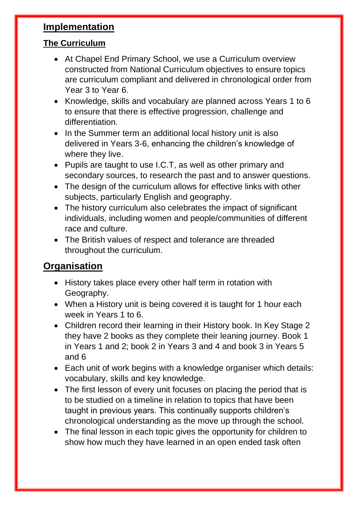#### **Implementation**

#### **The Curriculum**

- At Chapel End Primary School, we use a Curriculum overview constructed from National Curriculum objectives to ensure topics are curriculum compliant and delivered in chronological order from Year 3 to Year 6.
- Knowledge, skills and vocabulary are planned across Years 1 to 6 to ensure that there is effective progression, challenge and differentiation.
- In the Summer term an additional local history unit is also delivered in Years 3-6, enhancing the children's knowledge of where they live.
- Pupils are taught to use I.C.T, as well as other primary and secondary sources, to research the past and to answer questions.
- The design of the curriculum allows for effective links with other subjects, particularly English and geography.
- The history curriculum also celebrates the impact of significant individuals, including women and people/communities of different race and culture.
- The British values of respect and tolerance are threaded throughout the curriculum.

## **Organisation**

- History takes place every other half term in rotation with Geography.
- When a History unit is being covered it is taught for 1 hour each week in Years 1 to 6.
- Children record their learning in their History book. In Key Stage 2 they have 2 books as they complete their leaning journey. Book 1 in Years 1 and 2; book 2 in Years 3 and 4 and book 3 in Years 5 and 6
- Each unit of work begins with a knowledge organiser which details: vocabulary, skills and key knowledge.
- The first lesson of every unit focuses on placing the period that is to be studied on a timeline in relation to topics that have been taught in previous years. This continually supports children's chronological understanding as the move up through the school.
- The final lesson in each topic gives the opportunity for children to show how much they have learned in an open ended task often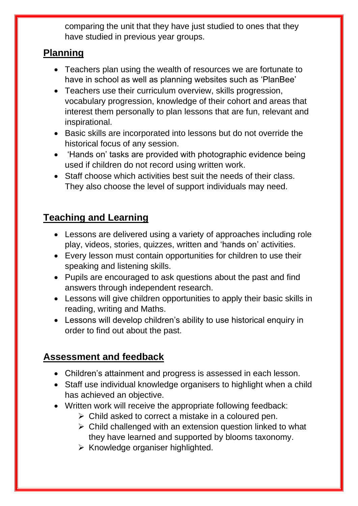comparing the unit that they have just studied to ones that they have studied in previous year groups.

### **Planning**

- Teachers plan using the wealth of resources we are fortunate to have in school as well as planning websites such as 'PlanBee'
- Teachers use their curriculum overview, skills progression, vocabulary progression, knowledge of their cohort and areas that interest them personally to plan lessons that are fun, relevant and inspirational.
- Basic skills are incorporated into lessons but do not override the historical focus of any session.
- 'Hands on' tasks are provided with photographic evidence being used if children do not record using written work.
- Staff choose which activities best suit the needs of their class. They also choose the level of support individuals may need.

## **Teaching and Learning**

- Lessons are delivered using a variety of approaches including role play, videos, stories, quizzes, written and 'hands on' activities.
- Every lesson must contain opportunities for children to use their speaking and listening skills.
- Pupils are encouraged to ask questions about the past and find answers through independent research.
- Lessons will give children opportunities to apply their basic skills in reading, writing and Maths.
- Lessons will develop children's ability to use historical enquiry in order to find out about the past.

## **Assessment and feedback**

- Children's attainment and progress is assessed in each lesson.
- Staff use individual knowledge organisers to highlight when a child has achieved an objective.
- Written work will receive the appropriate following feedback:
	- $\triangleright$  Child asked to correct a mistake in a coloured pen.
	- ➢ Child challenged with an extension question linked to what they have learned and supported by blooms taxonomy.
	- $\triangleright$  Knowledge organiser highlighted.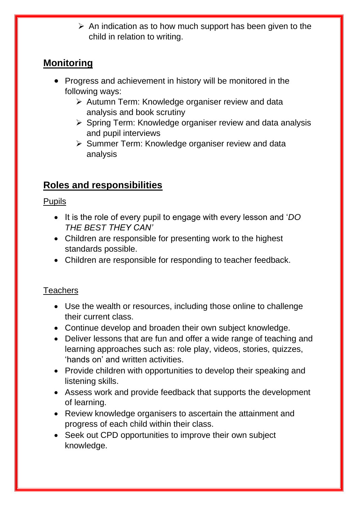$\triangleright$  An indication as to how much support has been given to the child in relation to writing.

## **Monitoring**

- Progress and achievement in history will be monitored in the following ways:
	- ➢ Autumn Term: Knowledge organiser review and data analysis and book scrutiny
	- ➢ Spring Term: Knowledge organiser review and data analysis and pupil interviews
	- ➢ Summer Term: Knowledge organiser review and data analysis

## **Roles and responsibilities**

#### Pupils

- It is the role of every pupil to engage with every lesson and '*DO THE BEST THEY CAN'*
- Children are responsible for presenting work to the highest standards possible.
- Children are responsible for responding to teacher feedback.

#### **Teachers**

- Use the wealth or resources, including those online to challenge their current class.
- Continue develop and broaden their own subject knowledge.
- Deliver lessons that are fun and offer a wide range of teaching and learning approaches such as: role play, videos, stories, quizzes, 'hands on' and written activities.
- Provide children with opportunities to develop their speaking and listening skills.
- Assess work and provide feedback that supports the development of learning.
- Review knowledge organisers to ascertain the attainment and progress of each child within their class.
- Seek out CPD opportunities to improve their own subject knowledge.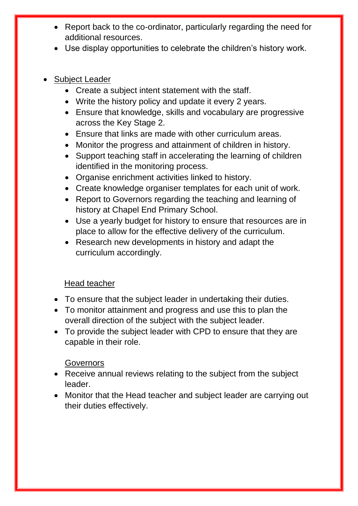- Report back to the co-ordinator, particularly regarding the need for additional resources.
- Use display opportunities to celebrate the children's history work.
- Subject Leader
	- Create a subject intent statement with the staff.
	- Write the history policy and update it every 2 years.
	- Ensure that knowledge, skills and vocabulary are progressive across the Key Stage 2.
	- Ensure that links are made with other curriculum areas.
	- Monitor the progress and attainment of children in history.
	- Support teaching staff in accelerating the learning of children identified in the monitoring process.
	- Organise enrichment activities linked to history.
	- Create knowledge organiser templates for each unit of work.
	- Report to Governors regarding the teaching and learning of history at Chapel End Primary School.
	- Use a yearly budget for history to ensure that resources are in place to allow for the effective delivery of the curriculum.
	- Research new developments in history and adapt the curriculum accordingly.

#### Head teacher

- To ensure that the subject leader in undertaking their duties.
- To monitor attainment and progress and use this to plan the overall direction of the subject with the subject leader.
- To provide the subject leader with CPD to ensure that they are capable in their role.

#### **Governors**

- Receive annual reviews relating to the subject from the subject leader.
- Monitor that the Head teacher and subject leader are carrying out their duties effectively.